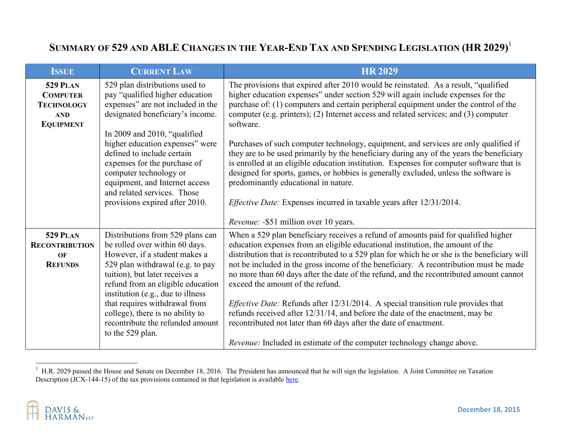## **SUMMARY OF 529 AND ABLE CHANGES IN THE YEAR-END TAX AND SPENDING LEGISLATION (HR 2029)**<sup>1</sup>

| <b>ISSUE</b>                                                                              | <b>CURRENT LAW</b>                                                                                                                                                                                                                                                                                                                                                                                       | <b>HR 2029</b>                                                                                                                                                                                                                                                                                                                                                                                                                                                                                                                                                                                                                                                                                                                                                                                                                                                      |
|-------------------------------------------------------------------------------------------|----------------------------------------------------------------------------------------------------------------------------------------------------------------------------------------------------------------------------------------------------------------------------------------------------------------------------------------------------------------------------------------------------------|---------------------------------------------------------------------------------------------------------------------------------------------------------------------------------------------------------------------------------------------------------------------------------------------------------------------------------------------------------------------------------------------------------------------------------------------------------------------------------------------------------------------------------------------------------------------------------------------------------------------------------------------------------------------------------------------------------------------------------------------------------------------------------------------------------------------------------------------------------------------|
| <b>529 PLAN</b><br><b>COMPUTER</b><br><b>TECHNOLOGY</b><br><b>AND</b><br><b>EQUIPMENT</b> | 529 plan distributions used to<br>pay "qualified higher education<br>expenses" are not included in the<br>designated beneficiary's income.<br>In 2009 and 2010, "qualified<br>higher education expenses" were<br>defined to include certain<br>expenses for the purchase of<br>computer technology or<br>equipment, and Internet access<br>and related services. Those<br>provisions expired after 2010. | The provisions that expired after 2010 would be reinstated. As a result, "qualified<br>higher education expenses" under section 529 will again include expenses for the<br>purchase of: (1) computers and certain peripheral equipment under the control of the<br>computer (e.g. printers); (2) Internet access and related services; and (3) computer<br>software.<br>Purchases of such computer technology, equipment, and services are only qualified if<br>they are to be used primarily by the beneficiary during any of the years the beneficiary<br>is enrolled at an eligible education institution. Expenses for computer software that is<br>designed for sports, games, or hobbies is generally excluded, unless the software is<br>predominantly educational in nature.<br><i>Effective Date:</i> Expenses incurred in taxable years after 12/31/2014. |
|                                                                                           |                                                                                                                                                                                                                                                                                                                                                                                                          | <i>Revenue:</i> -\$51 million over 10 years.                                                                                                                                                                                                                                                                                                                                                                                                                                                                                                                                                                                                                                                                                                                                                                                                                        |
| <b>529 PLAN</b><br><b>RECONTRIBUTION</b><br>OF<br><b>REFUNDS</b>                          | Distributions from 529 plans can<br>be rolled over within 60 days.<br>However, if a student makes a<br>529 plan withdrawal (e.g. to pay<br>tuition), but later receives a<br>refund from an eligible education<br>institution (e.g., due to illness<br>that requires withdrawal from<br>college), there is no ability to<br>recontribute the refunded amount<br>to the 529 plan.                         | When a 529 plan beneficiary receives a refund of amounts paid for qualified higher<br>education expenses from an eligible educational institution, the amount of the<br>distribution that is recontributed to a 529 plan for which he or she is the beneficiary will<br>not be included in the gross income of the beneficiary. A recontribution must be made<br>no more than 60 days after the date of the refund, and the recontributed amount cannot<br>exceed the amount of the refund.<br><i>Effective Date:</i> Refunds after 12/31/2014. A special transition rule provides that<br>refunds received after 12/31/14, and before the date of the enactment, may be<br>recontributed not later than 60 days after the date of enactment.<br><i>Revenue:</i> Included in estimate of the computer technology change above.                                      |

 $1$  H.R. 2029 passed the House and Senate on December 18, 2016. The President has announced that he will sign the legislation. A Joint Committee on Taxation Description (JCX-144-15) of the tax provisions contained in that legislation is available here.



 $\overline{a}$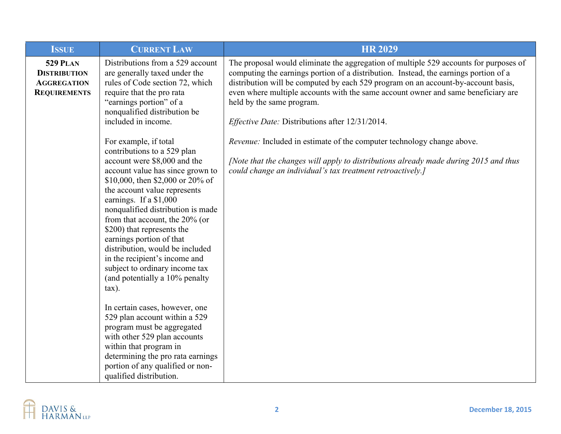| <b>ISSUE</b>                                                                        | <b>CURRENT LAW</b>                                                                                                                                                                                                                                                                                                                                                                                                                                                                                           | <b>HR 2029</b>                                                                                                                                                                                                                                                                                                                                                                                                                                 |
|-------------------------------------------------------------------------------------|--------------------------------------------------------------------------------------------------------------------------------------------------------------------------------------------------------------------------------------------------------------------------------------------------------------------------------------------------------------------------------------------------------------------------------------------------------------------------------------------------------------|------------------------------------------------------------------------------------------------------------------------------------------------------------------------------------------------------------------------------------------------------------------------------------------------------------------------------------------------------------------------------------------------------------------------------------------------|
| <b>529 PLAN</b><br><b>DISTRIBUTION</b><br><b>AGGREGATION</b><br><b>REQUIREMENTS</b> | Distributions from a 529 account<br>are generally taxed under the<br>rules of Code section 72, which<br>require that the pro rata<br>"earnings portion" of a<br>nonqualified distribution be<br>included in income.                                                                                                                                                                                                                                                                                          | The proposal would eliminate the aggregation of multiple 529 accounts for purposes of<br>computing the earnings portion of a distribution. Instead, the earnings portion of a<br>distribution will be computed by each 529 program on an account-by-account basis,<br>even where multiple accounts with the same account owner and same beneficiary are<br>held by the same program.<br><i>Effective Date: Distributions after 12/31/2014.</i> |
|                                                                                     | For example, if total<br>contributions to a 529 plan<br>account were \$8,000 and the<br>account value has since grown to<br>\$10,000, then \$2,000 or 20% of<br>the account value represents<br>earnings. If a \$1,000<br>nonqualified distribution is made<br>from that account, the 20% (or<br>\$200) that represents the<br>earnings portion of that<br>distribution, would be included<br>in the recipient's income and<br>subject to ordinary income tax<br>(and potentially a 10% penalty<br>$\tan$ ). | Revenue: Included in estimate of the computer technology change above.<br>[Note that the changes will apply to distributions already made during 2015 and thus<br>could change an individual's tax treatment retroactively.]                                                                                                                                                                                                                   |
|                                                                                     | In certain cases, however, one<br>529 plan account within a 529<br>program must be aggregated<br>with other 529 plan accounts<br>within that program in<br>determining the pro rata earnings<br>portion of any qualified or non-<br>qualified distribution.                                                                                                                                                                                                                                                  |                                                                                                                                                                                                                                                                                                                                                                                                                                                |